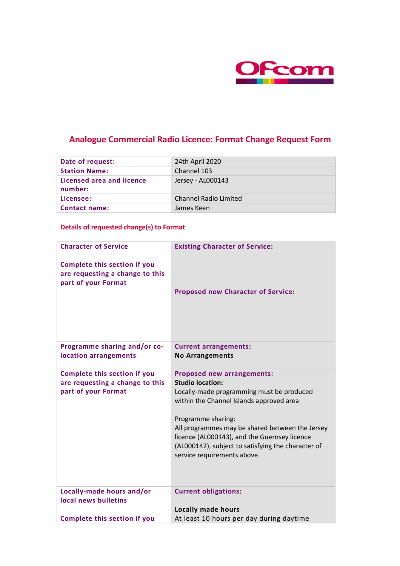

# **Analogue Commercial Radio Licence: Format Change Request Form**

| Date of request:                            | 24th April 2020              |
|---------------------------------------------|------------------------------|
| <b>Station Name:</b>                        | Channel 103                  |
| <b>Licensed area and licence</b><br>number: | Jersey - AL000143            |
| Licensee:                                   | <b>Channel Radio Limited</b> |
| <b>Contact name:</b>                        | James Keen                   |

### **Details of requested change(s) to Format**

| <b>Character of Service</b><br><b>Complete this section if you</b><br>are requesting a change to this<br>part of your Format | <b>Existing Character of Service:</b>                                                                                                                                                                                                                                                                                                                               |
|------------------------------------------------------------------------------------------------------------------------------|---------------------------------------------------------------------------------------------------------------------------------------------------------------------------------------------------------------------------------------------------------------------------------------------------------------------------------------------------------------------|
|                                                                                                                              | <b>Proposed new Character of Service:</b>                                                                                                                                                                                                                                                                                                                           |
| Programme sharing and/or co-<br>location arrangements                                                                        | <b>Current arrangements:</b><br><b>No Arrangements</b>                                                                                                                                                                                                                                                                                                              |
| <b>Complete this section if you</b><br>are requesting a change to this<br>part of your Format                                | <b>Proposed new arrangements:</b><br><b>Studio location:</b><br>Locally-made programming must be produced<br>within the Channel Islands approved area<br>Programme sharing:<br>All programmes may be shared between the Jersey<br>licence (AL000143), and the Guernsey licence<br>(AL000142), subject to satisfying the character of<br>service requirements above. |
| Locally-made hours and/or<br>local news bulletins                                                                            | <b>Current obligations:</b><br><b>Locally made hours</b>                                                                                                                                                                                                                                                                                                            |
| <b>Complete this section if you</b>                                                                                          | At least 10 hours per day during daytime                                                                                                                                                                                                                                                                                                                            |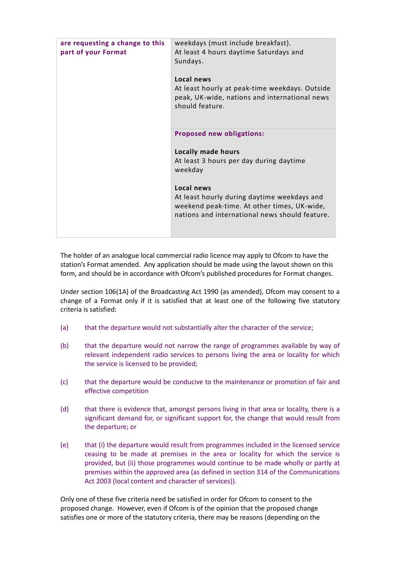| are requesting a change to this<br>part of your Format | weekdays (must include breakfast).<br>At least 4 hours daytime Saturdays and<br>Sundays.<br>Local news<br>At least hourly at peak-time weekdays. Outside<br>peak, UK-wide, nations and international news<br>should feature.                                                      |
|--------------------------------------------------------|-----------------------------------------------------------------------------------------------------------------------------------------------------------------------------------------------------------------------------------------------------------------------------------|
|                                                        | <b>Proposed new obligations:</b><br><b>Locally made hours</b><br>At least 3 hours per day during daytime<br>weekday<br>Local news<br>At least hourly during daytime weekdays and<br>weekend peak-time. At other times, UK-wide,<br>nations and international news should feature. |

The holder of an analogue local commercial radio licence may apply to Ofcom to have the station's Format amended. Any application should be made using the layout shown on this form, and should be in accordance with Ofcom's published procedures for Format changes.

Under section 106(1A) of the Broadcasting Act 1990 (as amended), Ofcom may consent to a change of a Format only if it is satisfied that at least one of the following five statutory criteria is satisfied:

- (a) that the departure would not substantially alter the character of the service;
- (b) that the departure would not narrow the range of programmes available by way of relevant independent radio services to persons living the area or locality for which the service is licensed to be provided;
- (c) that the departure would be conducive to the maintenance or promotion of fair and effective competition
- (d) that there is evidence that, amongst persons living in that area or locality, there is a significant demand for, or significant support for, the change that would result from the departure; or
- (e) that (i) the departure would result from programmes included in the licensed service ceasing to be made at premises in the area or locality for which the service is provided, but (ii) those programmes would continue to be made wholly or partly at premises within the approved area (as defined in section 314 of the Communications Act 2003 (local content and character of services)).

Only one of these five criteria need be satisfied in order for Ofcom to consent to the proposed change. However, even if Ofcom is of the opinion that the proposed change satisfies one or more of the statutory criteria, there may be reasons (depending on the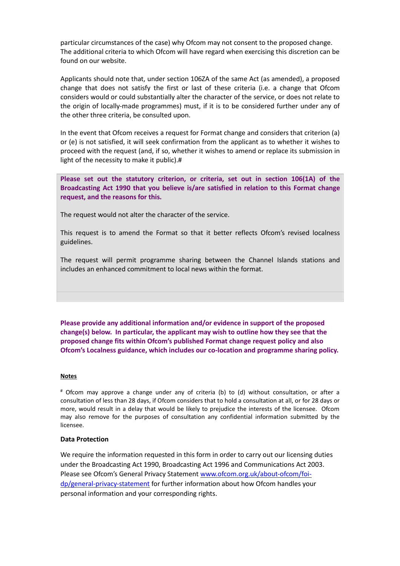particular circumstances of the case) why Ofcom may not consent to the proposed change. The additional criteria to which Ofcom will have regard when exercising this discretion can be found on our website.

Applicants should note that, under section 106ZA of the same Act (as amended), a proposed change that does not satisfy the first or last of these criteria (i.e. a change that Ofcom considers would or could substantially alter the character of the service, or does not relate to the origin of locally-made programmes) must, if it is to be considered further under any of the other three criteria, be consulted upon.

In the event that Ofcom receives a request for Format change and considers that criterion (a) or (e) is not satisfied, it will seek confirmation from the applicant as to whether it wishes to proceed with the request (and, if so, whether it wishes to amend or replace its submission in light of the necessity to make it public).#

**Please set out the statutory criterion, or criteria, set out in section 106(1A) of the Broadcasting Act 1990 that you believe is/are satisfied in relation to this Format change request, and the reasons for this.**

The request would not alter the character of the service.

This request is to amend the Format so that it better reflects Ofcom's revised localness guidelines.

The request will permit programme sharing between the Channel Islands stations and includes an enhanced commitment to local news within the format.

**Please provide any additional information and/or evidence in support of the proposed change(s) below. In particular, the applicant may wish to outline how they see that the proposed change fits within Ofcom's published Format change request policy and also Ofcom's Localness guidance, which includes our co-location and programme sharing policy.** 

#### **Notes**

# Ofcom may approve a change under any of criteria (b) to (d) without consultation, or after a consultation of less than 28 days, if Ofcom considers that to hold a consultation at all, or for 28 days or more, would result in a delay that would be likely to prejudice the interests of the licensee. Ofcom may also remove for the purposes of consultation any confidential information submitted by the licensee.

### **Data Protection**

We require the information requested in this form in order to carry out our licensing duties under the Broadcasting Act 1990, Broadcasting Act 1996 and Communications Act 2003. Please see Ofcom's General Privacy Statement [www.ofcom.org.uk/about-ofcom/foi](file:///C:/Users/james.slater/Downloads/%22http:/)[dp/general-privacy-statement](file:///C:/Users/james.slater/Downloads/%22http:/) for further information about how Ofcom handles your personal information and your corresponding rights.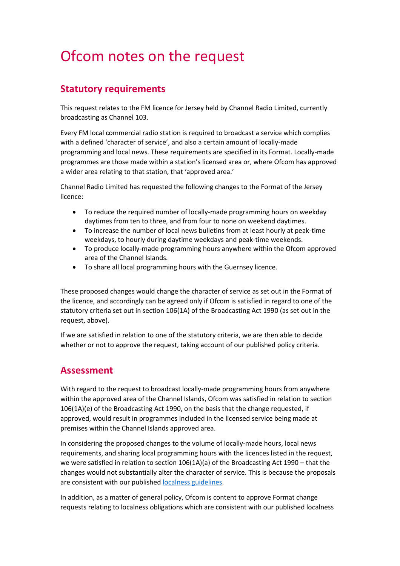# Ofcom notes on the request

## **Statutory requirements**

This request relates to the FM licence for Jersey held by Channel Radio Limited, currently broadcasting as Channel 103.

Every FM local commercial radio station is required to broadcast a service which complies with a defined 'character of service', and also a certain amount of locally-made programming and local news. These requirements are specified in its Format. Locally-made programmes are those made within a station's licensed area or, where Ofcom has approved a wider area relating to that station, that 'approved area.'

Channel Radio Limited has requested the following changes to the Format of the Jersey licence:

- To reduce the required number of locally-made programming hours on weekday daytimes from ten to three, and from four to none on weekend daytimes.
- To increase the number of local news bulletins from at least hourly at peak-time weekdays, to hourly during daytime weekdays and peak-time weekends.
- To produce locally-made programming hours anywhere within the Ofcom approved area of the Channel Islands.
- To share all local programming hours with the Guernsey licence.

These proposed changes would change the character of service as set out in the Format of the licence, and accordingly can be agreed only if Ofcom is satisfied in regard to one of the statutory criteria set out in section 106(1A) of the Broadcasting Act 1990 (as set out in the request, above).

If we are satisfied in relation to one of the statutory criteria, we are then able to decide whether or not to approve the request, taking account of our published policy criteria.

### **Assessment**

With regard to the request to broadcast locally-made programming hours from anywhere within the approved area of the Channel Islands, Ofcom was satisfied in relation to section 106(1A)(e) of the Broadcasting Act 1990, on the basis that the change requested, if approved, would result in programmes included in the licensed service being made at premises within the Channel Islands approved area.

In considering the proposed changes to the volume of locally-made hours, local news requirements, and sharing local programming hours with the licences listed in the request, we were satisfied in relation to section 106(1A)(a) of the Broadcasting Act 1990 – that the changes would not substantially alter the character of service. This is because the proposals are consistent with our published [localness guidelines.](https://www.ofcom.org.uk/tv-radio-and-on-demand/information-for-industry/radio-broadcasters/localness)

In addition, as a matter of general policy, Ofcom is content to approve Format change requests relating to localness obligations which are consistent with our published localness